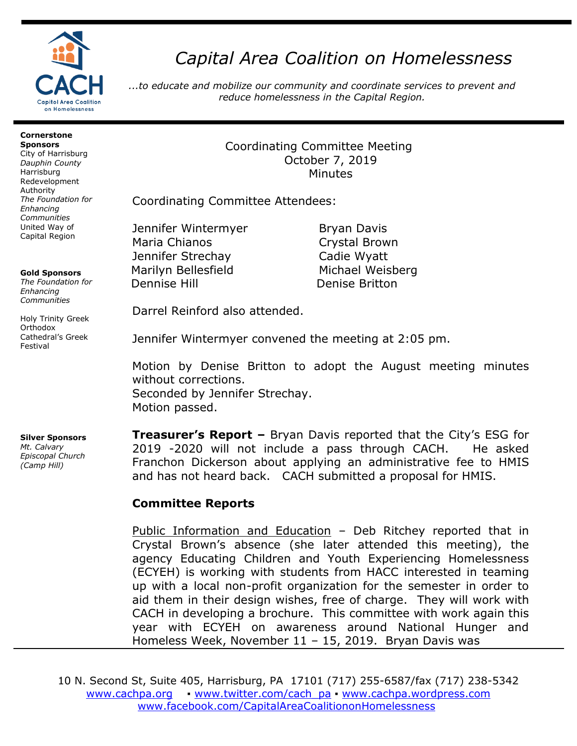

# *Capital Area Coalition on Homelessness*

*...to educate and mobilize our community and coordinate services to prevent and reduce homelessness in the Capital Region.*

#### **Cornerstone Sponsors**

City of Harrisburg *Dauphin County* Harrisburg Redevelopment Authority *The Foundation for Enhancing Communities* United Way of Capital Region

### **Gold Sponsors**

*The Foundation for Enhancing Communities*

Holy Trinity Greek **Orthodox** Cathedral's Greek Festival

#### **Silver Sponsors**  *Mt. Calvary*

*Episcopal Church (Camp Hill)*

## Coordinating Committee Meeting October 7, 2019 Minutes

Coordinating Committee Attendees:

Jennifer Wintermyer Bryan Davis Maria Chianos **Crystal Brown** Jennifer Strechay Cadie Wyatt Marilyn Bellesfield Michael Weisberg Dennise Hill Denise Britton

Darrel Reinford also attended.

Jennifer Wintermyer convened the meeting at 2:05 pm.

Motion by Denise Britton to adopt the August meeting minutes without corrections. Seconded by Jennifer Strechay. Motion passed.

**Treasurer's Report –** Bryan Davis reported that the City's ESG for 2019 -2020 will not include a pass through CACH. He asked Franchon Dickerson about applying an administrative fee to HMIS and has not heard back. CACH submitted a proposal for HMIS.

## **Committee Reports**

Public Information and Education – Deb Ritchey reported that in Crystal Brown's absence (she later attended this meeting), the agency Educating Children and Youth Experiencing Homelessness (ECYEH) is working with students from HACC interested in teaming up with a local non-profit organization for the semester in order to aid them in their design wishes, free of charge. They will work with CACH in developing a brochure. This committee with work again this year with ECYEH on awareness around National Hunger and Homeless Week, November 11 – 15, 2019. Bryan Davis was

10 N. Second St, Suite 405, Harrisburg, PA 17101 (717) 255-6587/fax (717) 238-5342 [www.cachpa.org](http://www.cachpa.org/) • [www.twitter.com/cach\\_pa](http://www.twitter.com/cach_pa) • [www.cachpa.wordpress.com](http://www.cachpa.wordpress.com/) [www.facebook.com/CapitalAreaCoalitiononHomelessness](http://www.facebook.com/CapitalAreaCoalitiononHomelessness)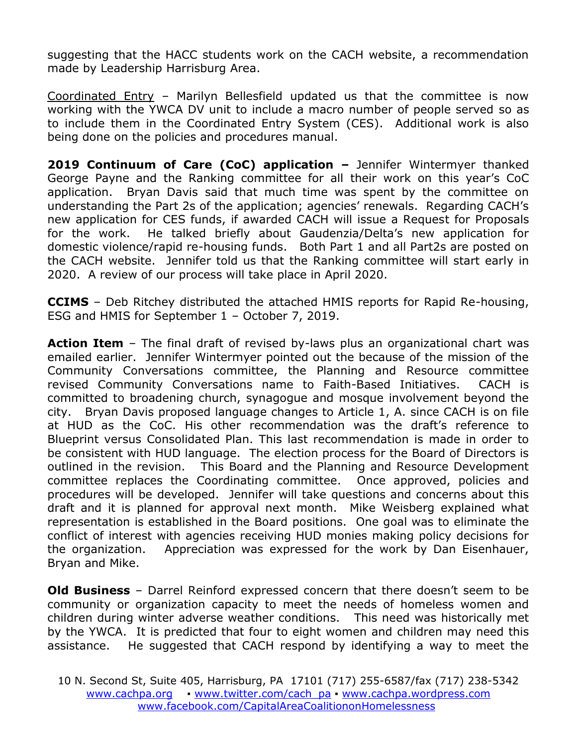suggesting that the HACC students work on the CACH website, a recommendation made by Leadership Harrisburg Area.

Coordinated Entry – Marilyn Bellesfield updated us that the committee is now working with the YWCA DV unit to include a macro number of people served so as to include them in the Coordinated Entry System (CES). Additional work is also being done on the policies and procedures manual.

**2019 Continuum of Care (CoC) application –** Jennifer Wintermyer thanked George Payne and the Ranking committee for all their work on this year's CoC application. Bryan Davis said that much time was spent by the committee on understanding the Part 2s of the application; agencies' renewals. Regarding CACH's new application for CES funds, if awarded CACH will issue a Request for Proposals for the work. He talked briefly about Gaudenzia/Delta's new application for domestic violence/rapid re-housing funds. Both Part 1 and all Part2s are posted on the CACH website. Jennifer told us that the Ranking committee will start early in 2020. A review of our process will take place in April 2020.

**CCIMS** – Deb Ritchey distributed the attached HMIS reports for Rapid Re-housing, ESG and HMIS for September 1 – October 7, 2019.

**Action Item** – The final draft of revised by-laws plus an organizational chart was emailed earlier. Jennifer Wintermyer pointed out the because of the mission of the Community Conversations committee, the Planning and Resource committee revised Community Conversations name to Faith-Based Initiatives. CACH is committed to broadening church, synagogue and mosque involvement beyond the city. Bryan Davis proposed language changes to Article 1, A. since CACH is on file at HUD as the CoC. His other recommendation was the draft's reference to Blueprint versus Consolidated Plan. This last recommendation is made in order to be consistent with HUD language. The election process for the Board of Directors is outlined in the revision. This Board and the Planning and Resource Development committee replaces the Coordinating committee. Once approved, policies and procedures will be developed. Jennifer will take questions and concerns about this draft and it is planned for approval next month. Mike Weisberg explained what representation is established in the Board positions. One goal was to eliminate the conflict of interest with agencies receiving HUD monies making policy decisions for the organization. Appreciation was expressed for the work by Dan Eisenhauer, Bryan and Mike.

**Old Business** – Darrel Reinford expressed concern that there doesn't seem to be community or organization capacity to meet the needs of homeless women and children during winter adverse weather conditions. This need was historically met by the YWCA. It is predicted that four to eight women and children may need this assistance. He suggested that CACH respond by identifying a way to meet the

<sup>10</sup> N. Second St, Suite 405, Harrisburg, PA 17101 (717) 255-6587/fax (717) 238-5342 [www.cachpa.org](http://www.cachpa.org/) • [www.twitter.com/cach\\_pa](http://www.twitter.com/cach_pa) • [www.cachpa.wordpress.com](http://www.cachpa.wordpress.com/) [www.facebook.com/CapitalAreaCoalitiononHomelessness](http://www.facebook.com/CapitalAreaCoalitiononHomelessness)